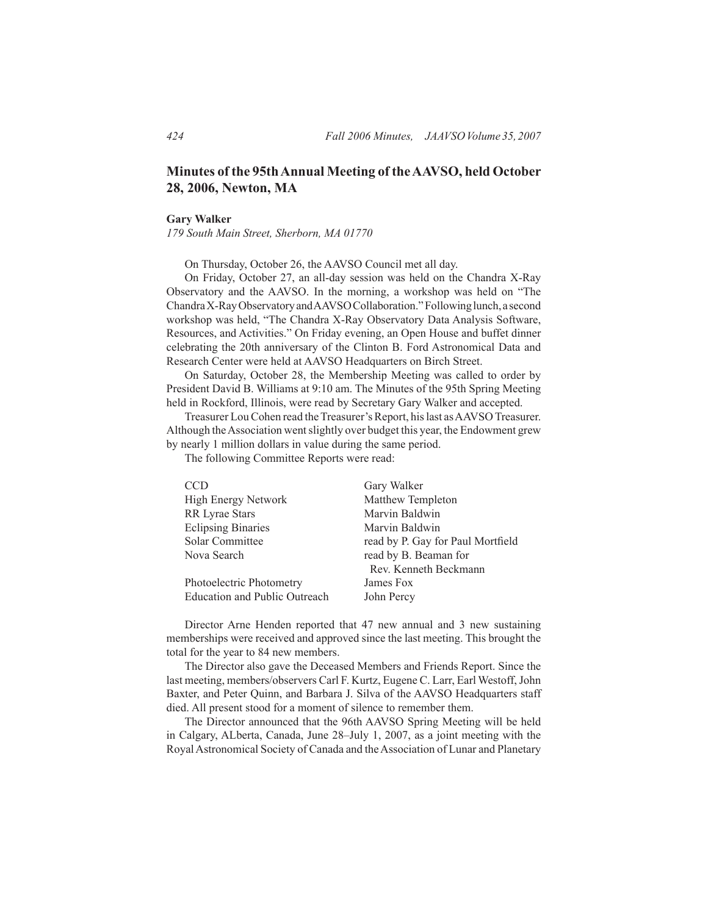## **Minutes of the 95th Annual Meeting of the AAVSO, held October 28, 2006, Newton, MA**

#### **Gary Walker**

*179 South Main Street, Sherborn, MA 01770*

 On Thursday, October 26, the AAVSO Council met all day.

 On Friday, October 27, an all-day session was held on the Chandra X-Ray Observatory and the AAVSO. In the morning, a workshop was held on "The ChandraX-RayObservatoryandAAVSOCollaboration."Followinglunch, a second workshop was held, "The Chandra X-Ray Observatory Data Analysis Software, Resources, and Activities." On Friday evening, an Open House and buffet dinner celebrating the 20th anniversary of the Clinton B. Ford Astronomical Data and Research Center were held at AAVSO Headquarters on Birch Street.

 On Saturday, October 28, the Membership Meeting was called to order by President David B. Williams at 9:10 am. The Minutes of the 95th Spring Meeting held in Rockford, Illinois, were read by Secretary Gary Walker and accepted.

Treasurer Lou Cohen read the Treasurer's Report, his last as AAVSO Treasurer. Although theAssociation wentslightly over budget this year, the Endowment grew by nearly 1 million dollars in value during the same period.

 The following Committee Reports were read:

| <b>CCD</b>                    | Gary Walker                       |
|-------------------------------|-----------------------------------|
| High Energy Network           | Matthew Templeton                 |
| <b>RR</b> Lyrae Stars         | Marvin Baldwin                    |
| <b>Eclipsing Binaries</b>     | Marvin Baldwin                    |
| Solar Committee               | read by P. Gay for Paul Mortfield |
| Nova Search                   | read by B. Beaman for             |
|                               | Rev. Kenneth Beckmann             |
| Photoelectric Photometry      | James Fox                         |
| Education and Public Outreach | John Percy                        |

 Director Arne Henden reported that 47 new annual and 3 new sustaining memberships were received and approved since the last meeting. This brought the total for the year to 84 new members.

 The Director also gave the Deceased Members and Friends Report. Since the last meeting, members/observers Carl F. Kurtz, Eugene C. Larr, Earl Westoff, John Baxter, and Peter Quinn, and Barbara J. Silva of the AAVSO Headquarters staff died. All present stood for a moment of silence to remember them.

 The Director announced that the 96th AAVSO Spring Meeting will be held in Calgary, ALberta, Canada, June 28–July 1, 2007, as a joint meeting with the Royal Astronomical Society of Canada and the Association of Lunar and Planetary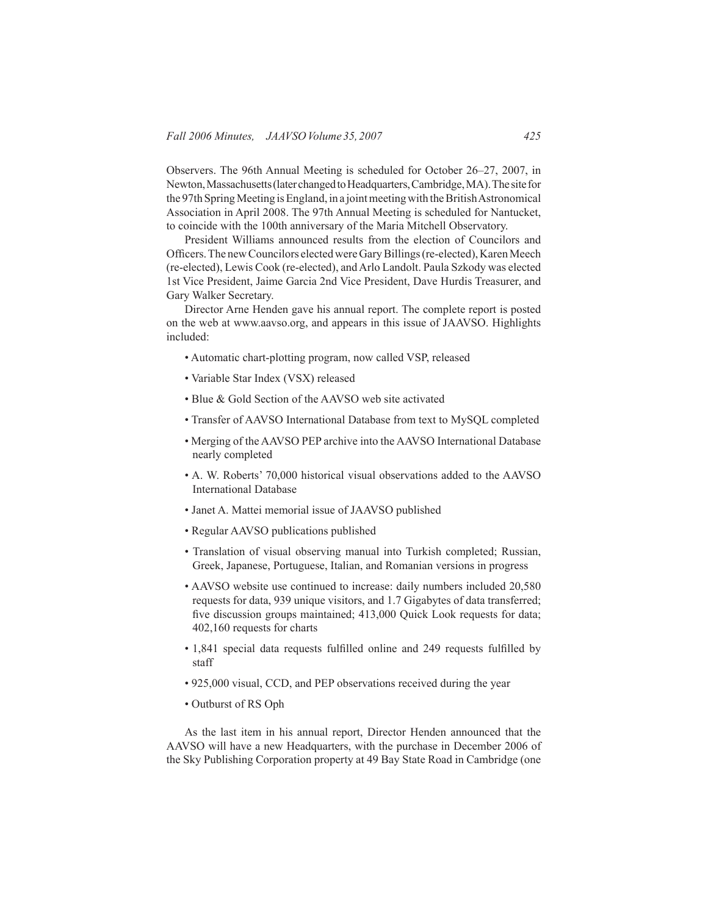Observers. The 96th Annual Meeting is scheduled for October 26–27, 2007, in Newton,Massachusetts(laterchangedtoHeadquarters,Cambridge,MA).Thesitefor the 97th Spring Meeting is England, in a joint meeting with the British Astronomical Association in April 2008. The 97th Annual Meeting is scheduled for Nantucket, to coincide with the 100th anniversary of the Maria Mitchell Observatory.

 President Williams announced results from the election of Councilors and Officers. The new Councilors elected were Gary Billings (re-elected), Karen Meech (re-elected), Lewis Cook (re-elected), andArlo Landolt. Paula Szkody was elected 1st Vice President, Jaime Garcia 2nd Vice President, Dave Hurdis Treasurer, and Gary Walker Secretary.

 Director Arne Henden gave his annual report. The complete report is posted on the web at www.aavso.org, and appears in this issue of JAAVSO. Highlights included:

- Automatic chart-plotting program, now called VSP, released
- Variable Star Index (VSX) released
- Blue & Gold Section of the AAVSO web site activated
- Transfer of AAVSO International Database from text to MySQL completed
- Merging of the AAVSO PEP archive into the AAVSO International Database nearly completed
- A. W. Roberts' 70,000 historical visual observations added to the AAVSO International Database
- Janet A. Mattei memorial issue of JAAVSO published
- Regular AAVSO publications published
- Translation of visual observing manual into Turkish completed; Russian, Greek, Japanese, Portuguese, Italian, and Romanian versions in progress
- AAVSO website use continued to increase: daily numbers included 20,580 requests for data, 939 unique visitors, and 1.7 Gigabytes of data transferred; five discussion groups maintained; 413,000 Quick Look requests for data; 402,160 requests for charts
- 1,841 special data requests fulfilled online and 249 requests fulfilled by staff
- 925,000 visual, CCD, and PEP observations received during the year
- Outburst of RS Oph

 As the last item in his annual report, Director Henden announced that the AAVSO will have a new Headquarters, with the purchase in December 2006 of the Sky Publishing Corporation property at 49 Bay State Road in Cambridge (one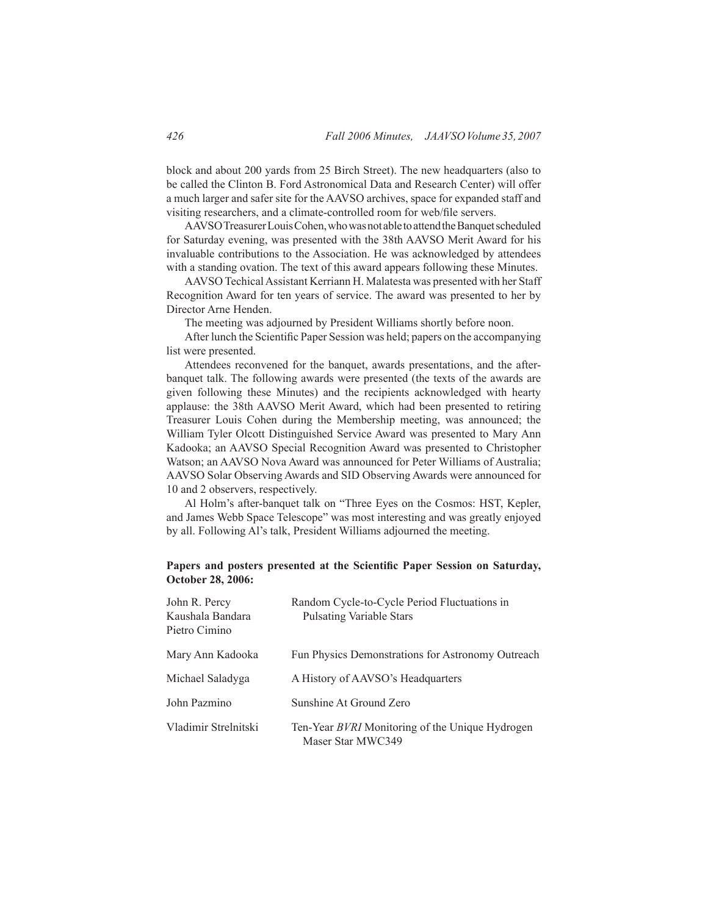block and about 200 yards from 25 Birch Street). The new headquarters (also to be called the Clinton B. Ford Astronomical Data and Research Center) will offer a much larger and safer site for the AAVSO archives, space for expanded staff and visiting researchers, and a climate-controlled room for web/file servers.

 AAVSOTreasurerLouisCohen,whowasnotabletoattendtheBanquetscheduled for Saturday evening, was presented with the 38th AAVSO Merit Award for his invaluable contributions to the Association. He was acknowledged by attendees with a standing ovation. The text of this award appears following these Minutes.

 AAVSO TechicalAssistant Kerriann H. Malatesta was presented with her Staff Recognition Award for ten years of service. The award was presented to her by Director Arne Henden.

 The meeting was adjourned by President Williams shortly before noon.

After lunch the Scientific Paper Session was held; papers on the accompanying list were presented.

 Attendees reconvened for the banquet, awards presentations, and the afterbanquet talk. The following awards were presented (the texts of the awards are given following these Minutes) and the recipients acknowledged with hearty applause: the 38th AAVSO Merit Award, which had been presented to retiring Treasurer Louis Cohen during the Membership meeting, was announced; the William Tyler Olcott Distinguished Service Award was presented to Mary Ann Kadooka; an AAVSO Special Recognition Award was presented to Christopher Watson; an AAVSO Nova Award was announced for Peter Williams of Australia; AAVSO Solar Observing Awards and SID Observing Awards were announced for 10 and 2 observers, respectively.

 Al Holm's after-banquet talk on "Three Eyes on the Cosmos: HST, Kepler, and James Webb Space Telescope" was most interesting and was greatly enjoyed by all. Following Al's talk, President Williams adjourned the meeting.

#### **Papers and posters presented at the Scientific Paper Session on Saturday, October 28, 2006:**

| John R. Percy<br>Kaushala Bandara<br>Pietro Cimino | Random Cycle-to-Cycle Period Fluctuations in<br><b>Pulsating Variable Stars</b> |
|----------------------------------------------------|---------------------------------------------------------------------------------|
| Mary Ann Kadooka                                   | Fun Physics Demonstrations for Astronomy Outreach                               |
| Michael Saladyga                                   | A History of AAVSO's Headquarters                                               |
| John Pazmino                                       | Sunshine At Ground Zero                                                         |
| Vladimir Strelnitski                               | Ten-Year BVRI Monitoring of the Unique Hydrogen<br>Maser Star MWC349            |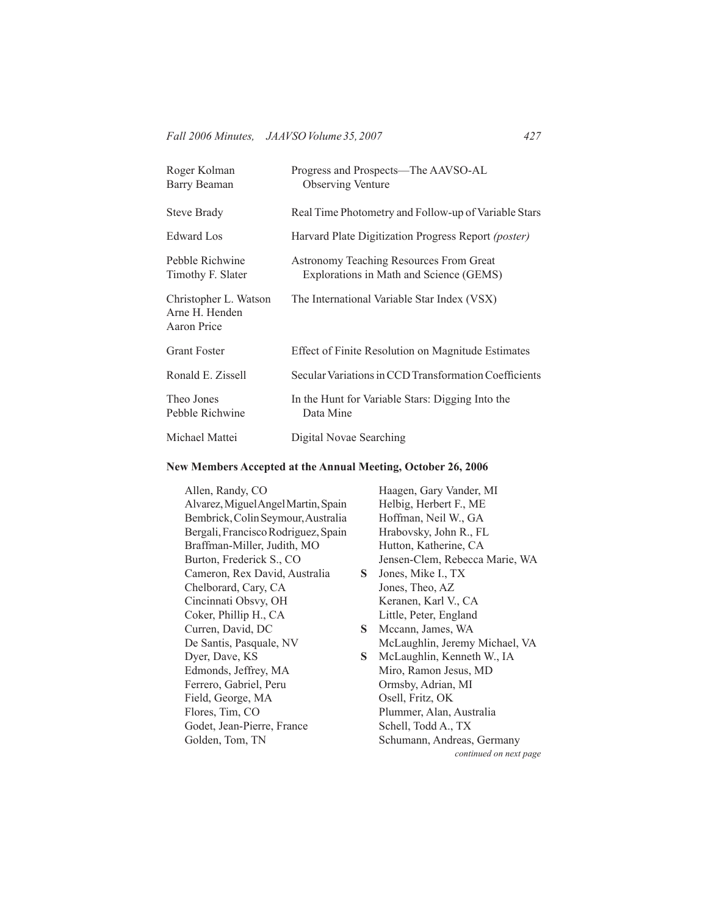| Roger Kolman<br>Barry Beaman                           | Progress and Prospects—The AAVSO-AL<br><b>Observing Venture</b>                           |
|--------------------------------------------------------|-------------------------------------------------------------------------------------------|
| <b>Steve Brady</b>                                     | Real Time Photometry and Follow-up of Variable Stars                                      |
| Edward Los                                             | Harvard Plate Digitization Progress Report <i>(poster)</i>                                |
| Pebble Richwine<br>Timothy F. Slater                   | <b>Astronomy Teaching Resources From Great</b><br>Explorations in Math and Science (GEMS) |
| Christopher L. Watson<br>Arne H. Henden<br>Aaron Price | The International Variable Star Index (VSX)                                               |
| <b>Grant Foster</b>                                    | Effect of Finite Resolution on Magnitude Estimates                                        |
| Ronald E. Zissell                                      | Secular Variations in CCD Transformation Coefficients                                     |
| Theo Jones<br>Pebble Richwine                          | In the Hunt for Variable Stars: Digging Into the<br>Data Mine                             |
| Michael Mattei                                         | Digital Novae Searching                                                                   |

# **New Members Accepted at the Annual Meeting, October 26, 2006**

| Allen, Randy, CO                    |    | Haagen, Gary Vander, MI        |
|-------------------------------------|----|--------------------------------|
| Alvarez, Miguel Angel Martin, Spain |    | Helbig, Herbert F., ME         |
| Bembrick, Colin Seymour, Australia  |    | Hoffman, Neil W., GA           |
| Bergali, Francisco Rodriguez, Spain |    | Hrabovsky, John R., FL         |
| Braffman-Miller, Judith, MO         |    | Hutton, Katherine, CA          |
| Burton, Frederick S., CO            |    | Jensen-Clem, Rebecca Marie, WA |
| Cameron, Rex David, Australia       | S. | Jones, Mike I., TX             |
| Chelborard, Cary, CA                |    | Jones, Theo, AZ                |
| Cincinnati Obsvy, OH                |    | Keranen, Karl V., CA           |
| Coker, Phillip H., CA               |    | Little, Peter, England         |
| Curren, David, DC                   | S  | Mccann, James, WA              |
| De Santis, Pasquale, NV             |    | McLaughlin, Jeremy Michael, VA |
| Dyer, Dave, KS                      | S. | McLaughlin, Kenneth W., IA     |
| Edmonds, Jeffrey, MA                |    | Miro, Ramon Jesus, MD          |
| Ferrero, Gabriel, Peru              |    | Ormsby, Adrian, MI             |
| Field, George, MA                   |    | Osell, Fritz, OK               |
| Flores, Tim, CO                     |    | Plummer, Alan, Australia       |
| Godet, Jean-Pierre, France          |    | Schell, Todd A., TX            |
| Golden, Tom, TN                     |    | Schumann, Andreas, Germany     |
|                                     |    | continued on next page         |
|                                     |    |                                |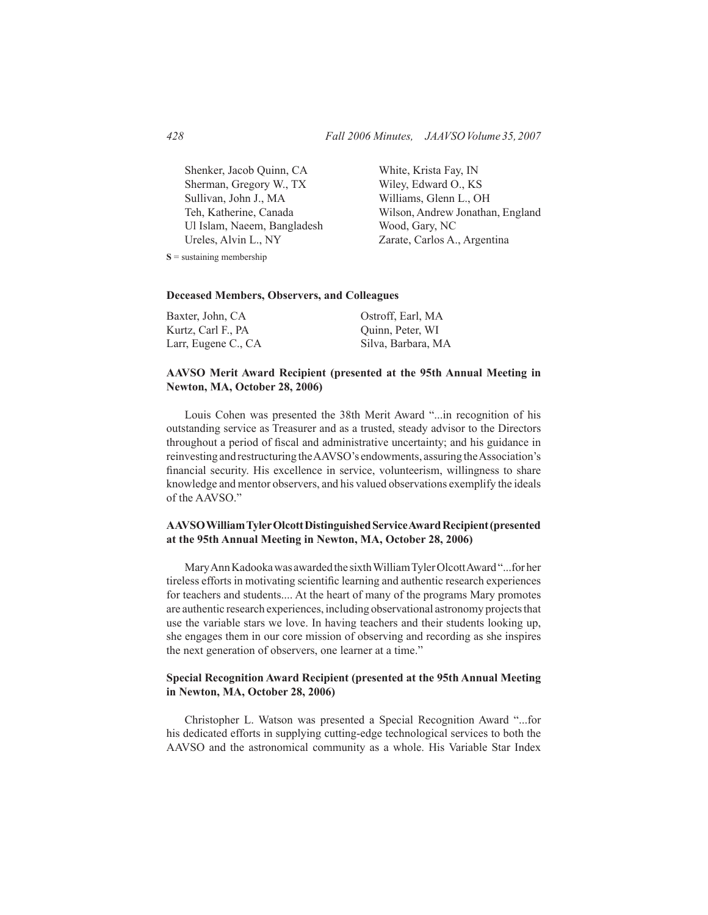Shenker, Jacob Quinn, CA Sherman, Gregory W., TX Sullivan, John J., MA Teh, Katherine, Canada Ul Islam, Naeem, Bangladesh Ureles, Alvin L., NY 

 White, Krista Fay, IN Wiley, Edward O., KS Williams, Glenn L., OH Wilson, Andrew Jonathan, England Wood, Gary, NC Zarate, Carlos A., Argentina

**S** = sustaining membership

#### **Deceased Members, Observers, and Colleagues**

| Baxter, John, CA    | Ostroff, Earl, MA  |
|---------------------|--------------------|
| Kurtz, Carl F., PA  | Quinn, Peter, WI   |
| Larr, Eugene C., CA | Silva, Barbara, MA |

## **AAVSO Merit Award Recipient (presented at the 95th Annual Meeting in Newton, MA, October 28, 2006)**

 Louis Cohen was presented the 38th Merit Award "...in recognition of his outstanding service as Treasurer and as a trusted, steady advisor to the Directors throughout a period of fiscal and administrative uncertainty; and his guidance in reinvesting and restructuring theAAVSO's endowments, assuring theAssociation's financial security. His excellence in service, volunteerism, willingness to share knowledge and mentor observers, and his valued observations exemplify the ideals of the AAVSO."

#### **AAVSO William Tyler Olcott Distinguished Service Award Recipient (presented at the 95th Annual Meeting in Newton, MA, October 28, 2006)**

 MaryAnnKadookawas awardedthe sixthWilliamTylerOlcottAward"...forher tireless efforts in motivating scientific learning and authentic research experiences for teachers and students.... At the heart of many of the programs Mary promotes are authentic research experiences, including observational astronomy projects that use the variable stars we love. In having teachers and their students looking up, she engages them in our core mission of observing and recording as she inspires the next generation of observers, one learner at a time."

#### **Special Recognition Award Recipient (presented at the 95th Annual Meeting in Newton, MA, October 28, 2006)**

 Christopher L. Watson was presented a Special Recognition Award "...for his dedicated efforts in supplying cutting-edge technological services to both the AAVSO and the astronomical community as a whole. His Variable Star Index